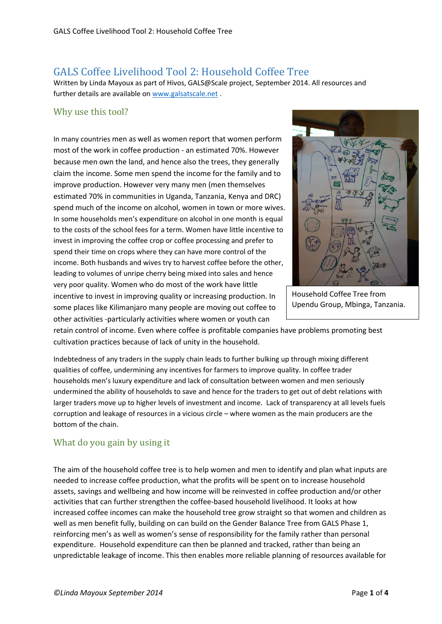# GALS Coffee Livelihood Tool 2: Household Coffee Tree

Written by Linda Mayoux as part of Hivos, GALS@Scale project, September 2014. All resources and further details are available on [www.galsatscale.net](http://www.galsatscale.net/) .

### Why use this tool?

In many countries men as well as women report that women perform most of the work in coffee production - an estimated 70%. However because men own the land, and hence also the trees, they generally claim the income. Some men spend the income for the family and to improve production. However very many men (men themselves estimated 70% in communities in Uganda, Tanzania, Kenya and DRC) spend much of the income on alcohol, women in town or more wives. In some households men's expenditure on alcohol in one month is equal to the costs of the school fees for a term. Women have little incentive to invest in improving the coffee crop or coffee processing and prefer to spend their time on crops where they can have more control of the income. Both husbands and wives try to harvest coffee before the other, leading to volumes of unripe cherry being mixed into sales and hence very poor quality. Women who do most of the work have little incentive to invest in improving quality or increasing production. In some places like Kilimanjaro many people are moving out coffee to other activities -particularly activities where women or youth can



Household Coffee Tree from Upendu Group, Mbinga, Tanzania.

retain control of income. Even where coffee is profitable companies have problems promoting best cultivation practices because of lack of unity in the household.

Indebtedness of any traders in the supply chain leads to further bulking up through mixing different qualities of coffee, undermining any incentives for farmers to improve quality. In coffee trader households men's luxury expenditure and lack of consultation between women and men seriously undermined the ability of households to save and hence for the traders to get out of debt relations with larger traders move up to higher levels of investment and income. Lack of transparency at all levels fuels corruption and leakage of resources in a vicious circle – where women as the main producers are the bottom of the chain.

## What do you gain by using it

The aim of the household coffee tree is to help women and men to identify and plan what inputs are needed to increase coffee production, what the profits will be spent on to increase household assets, savings and wellbeing and how income will be reinvested in coffee production and/or other activities that can further strengthen the coffee-based household livelihood. It looks at how increased coffee incomes can make the household tree grow straight so that women and children as well as men benefit fully, building on can build on the Gender Balance Tree from GALS Phase 1, reinforcing men's as well as women's sense of responsibility for the family rather than personal expenditure. Household expenditure can then be planned and tracked, rather than being an unpredictable leakage of income. This then enables more reliable planning of resources available for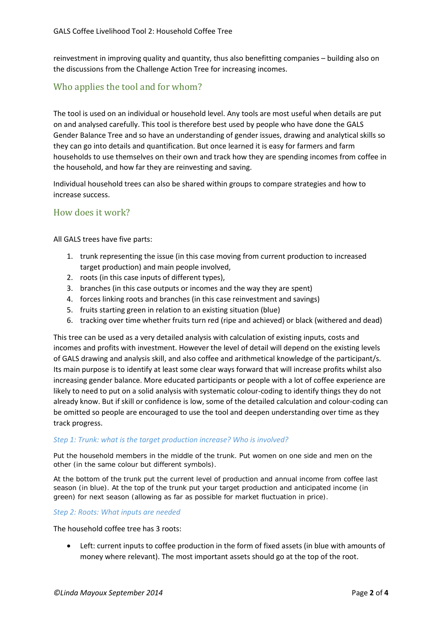reinvestment in improving quality and quantity, thus also benefitting companies – building also on the discussions from the Challenge Action Tree for increasing incomes.

## Who applies the tool and for whom?

The tool is used on an individual or household level. Any tools are most useful when details are put on and analysed carefully. This tool is therefore best used by people who have done the GALS Gender Balance Tree and so have an understanding of gender issues, drawing and analytical skills so they can go into details and quantification. But once learned it is easy for farmers and farm households to use themselves on their own and track how they are spending incomes from coffee in the household, and how far they are reinvesting and saving.

Individual household trees can also be shared within groups to compare strategies and how to increase success.

### How does it work?

All GALS trees have five parts:

- 1. trunk representing the issue (in this case moving from current production to increased target production) and main people involved,
- 2. roots (in this case inputs of different types),
- 3. branches (in this case outputs or incomes and the way they are spent)
- 4. forces linking roots and branches (in this case reinvestment and savings)
- 5. fruits starting green in relation to an existing situation (blue)
- 6. tracking over time whether fruits turn red (ripe and achieved) or black (withered and dead)

This tree can be used as a very detailed analysis with calculation of existing inputs, costs and incomes and profits with investment. However the level of detail will depend on the existing levels of GALS drawing and analysis skill, and also coffee and arithmetical knowledge of the participant/s. Its main purpose is to identify at least some clear ways forward that will increase profits whilst also increasing gender balance. More educated participants or people with a lot of coffee experience are likely to need to put on a solid analysis with systematic colour-coding to identify things they do not already know. But if skill or confidence is low, some of the detailed calculation and colour-coding can be omitted so people are encouraged to use the tool and deepen understanding over time as they track progress.

#### *Step 1: Trunk: what is the target production increase? Who is involved?*

Put the household members in the middle of the trunk. Put women on one side and men on the other (in the same colour but different symbols).

At the bottom of the trunk put the current level of production and annual income from coffee last season (in blue). At the top of the trunk put your target production and anticipated income (in green) for next season (allowing as far as possible for market fluctuation in price).

#### *Step 2: Roots: What inputs are needed*

The household coffee tree has 3 roots:

• Left: current inputs to coffee production in the form of fixed assets (in blue with amounts of money where relevant). The most important assets should go at the top of the root.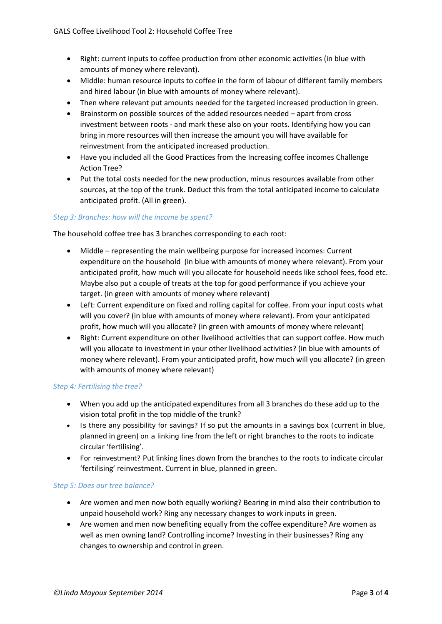- Right: current inputs to coffee production from other economic activities (in blue with amounts of money where relevant).
- Middle: human resource inputs to coffee in the form of labour of different family members and hired labour (in blue with amounts of money where relevant).
- Then where relevant put amounts needed for the targeted increased production in green.
- Brainstorm on possible sources of the added resources needed apart from cross investment between roots - and mark these also on your roots. Identifying how you can bring in more resources will then increase the amount you will have available for reinvestment from the anticipated increased production.
- Have you included all the Good Practices from the Increasing coffee incomes Challenge Action Tree?
- Put the total costs needed for the new production, minus resources available from other sources, at the top of the trunk. Deduct this from the total anticipated income to calculate anticipated profit. (All in green).

### *Step 3: Branches: how will the income be spent?*

The household coffee tree has 3 branches corresponding to each root:

- Middle representing the main wellbeing purpose for increased incomes: Current expenditure on the household (in blue with amounts of money where relevant). From your anticipated profit, how much will you allocate for household needs like school fees, food etc. Maybe also put a couple of treats at the top for good performance if you achieve your target. (in green with amounts of money where relevant)
- Left: Current expenditure on fixed and rolling capital for coffee. From your input costs what will you cover? (in blue with amounts of money where relevant). From your anticipated profit, how much will you allocate? (in green with amounts of money where relevant)
- Right: Current expenditure on other livelihood activities that can support coffee. How much will you allocate to investment in your other livelihood activities? (in blue with amounts of money where relevant). From your anticipated profit, how much will you allocate? (in green with amounts of money where relevant)

#### *Step 4: Fertilising the tree?*

- When you add up the anticipated expenditures from all 3 branches do these add up to the vision total profit in the top middle of the trunk?
- Is there any possibility for savings? If so put the amounts in a savings box (current in blue, planned in green) on a linking line from the left or right branches to the roots to indicate circular 'fertilising'.
- For reinvestment? Put linking lines down from the branches to the roots to indicate circular 'fertilising' reinvestment. Current in blue, planned in green.

#### *Step 5: Does our tree balance?*

- Are women and men now both equally working? Bearing in mind also their contribution to unpaid household work? Ring any necessary changes to work inputs in green.
- Are women and men now benefiting equally from the coffee expenditure? Are women as well as men owning land? Controlling income? Investing in their businesses? Ring any changes to ownership and control in green.